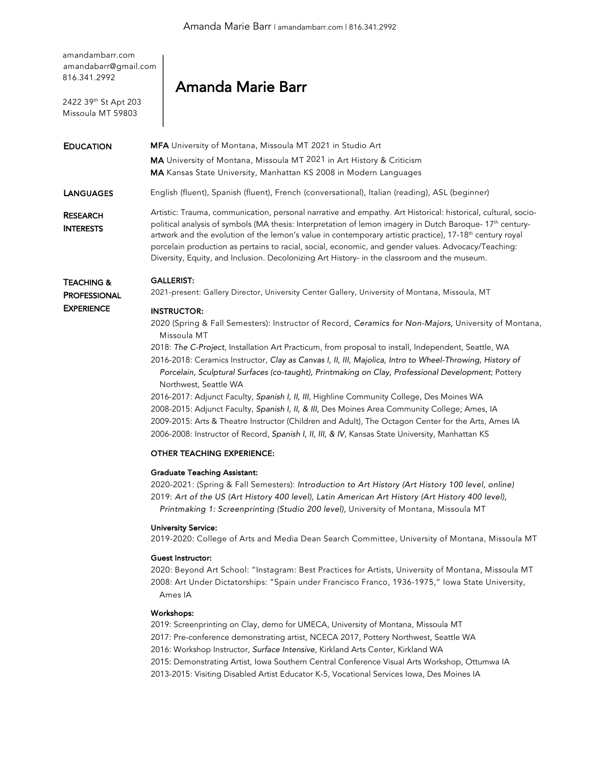amandambarr.com amandabarr@gmail.com 816.341.2992

2422 39th St Apt 203 Missoula MT 59803

# Amanda Marie Barr

# EDUCATION MFA University of Montana, Missoula MT 2021 in Studio Art MA University of Montana, Missoula MT 2021 in Art History & Criticism MA Kansas State University, Manhattan KS 2008 in Modern Languages LANGUAGES English (fluent), Spanish (fluent), French (conversational), Italian (reading), ASL (beginner) RESEARCH **INTERESTS** TEACHING & PROFESSIONAL **EXPERIENCE** Artistic: Trauma, communication, personal narrative and empathy. Art Historical: historical, cultural, sociopolitical analysis of symbols (MA thesis: Interpretation of lemon imagery in Dutch Baroque- 17<sup>th</sup> centuryartwork and the evolution of the lemon's value in contemporary artistic practice), 17-18<sup>th</sup> century royal porcelain production as pertains to racial, social, economic, and gender values. Advocacy/Teaching: Diversity, Equity, and Inclusion. Decolonizing Art History- in the classroom and the museum. GALLERIST: 2021-present: Gallery Director, University Center Gallery, University of Montana, Missoula, MT INSTRUCTOR: 2020 (Spring & Fall Semesters): Instructor of Record, *Ceramics for Non-Majors,* University of Montana, Missoula MT 2018: *The C-Project*, Installation Art Practicum, from proposal to install, Independent, Seattle, WA 2016-2018: Ceramics Instructor, *Clay as Canvas I, II, III, Majolica, Intro to Wheel-Throwing, History of Porcelain, Sculptural Surfaces (co-taught), Printmaking on Clay, Professional Development*; Pottery Northwest, Seattle WA

2016-2017: Adjunct Faculty, *Spanish I, II, III*, Highline Community College, Des Moines WA 2008-2015: Adjunct Faculty, *Spanish I, II, & III,* Des Moines Area Community College; Ames, IA 2009-2015: Arts & Theatre Instructor (Children and Adult), The Octagon Center for the Arts, Ames IA 2006-2008: Instructor of Record, *Spanish I, II, III, & IV*, Kansas State University, Manhattan KS

#### OTHER TEACHING EXPERIENCE:

#### Graduate Teaching Assistant:

2020-2021: (Spring & Fall Semesters): *Introduction to Art History (Art History 100 level, online)* 2019: *Art of the US (Art History 400 level), Latin American Art History (Art History 400 level), Printmaking 1: Screenprinting (Studio 200 level),* University of Montana, Missoula MT

#### University Service:

2019-2020: College of Arts and Media Dean Search Committee, University of Montana, Missoula MT

### Guest Instructor:

2020: Beyond Art School: "Instagram: Best Practices for Artists, University of Montana, Missoula MT 2008: Art Under Dictatorships: "Spain under Francisco Franco, 1936-1975," Iowa State University, Ames IA

#### Workshops:

2019: Screenprinting on Clay, demo for UMECA, University of Montana, Missoula MT 2017: Pre-conference demonstrating artist, NCECA 2017, Pottery Northwest, Seattle WA 2016: Workshop Instructor, *Surface Intensive*, Kirkland Arts Center, Kirkland WA 2015: Demonstrating Artist, Iowa Southern Central Conference Visual Arts Workshop, Ottumwa IA

2013-2015: Visiting Disabled Artist Educator K-5, Vocational Services Iowa, Des Moines IA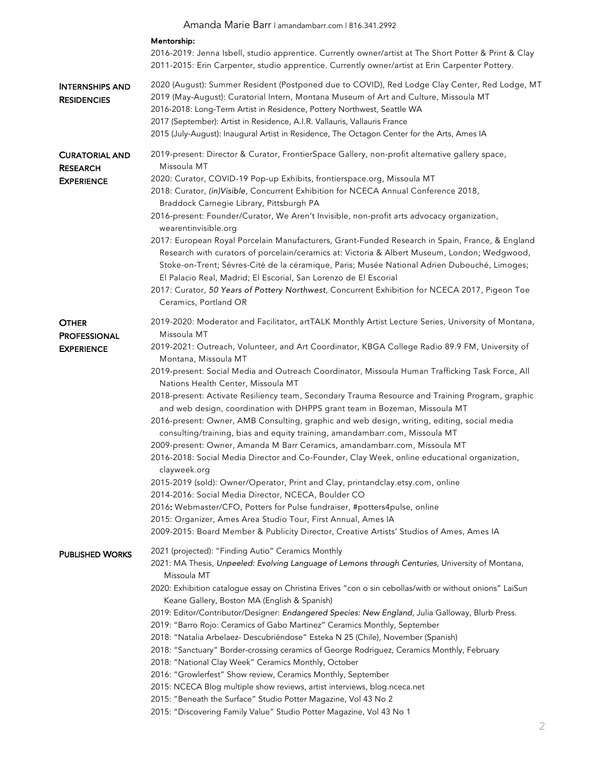|                                                               | Amanda Marie Barr I amandambarr.com   816.341.2992                                                                                                                                                                                                                                                                                                                                                                                                                                                                                                                                                                                                                                                                                                                                                                                                                                                                                                                                                                                                                                                                                                                                                                                                                                                                                    |
|---------------------------------------------------------------|---------------------------------------------------------------------------------------------------------------------------------------------------------------------------------------------------------------------------------------------------------------------------------------------------------------------------------------------------------------------------------------------------------------------------------------------------------------------------------------------------------------------------------------------------------------------------------------------------------------------------------------------------------------------------------------------------------------------------------------------------------------------------------------------------------------------------------------------------------------------------------------------------------------------------------------------------------------------------------------------------------------------------------------------------------------------------------------------------------------------------------------------------------------------------------------------------------------------------------------------------------------------------------------------------------------------------------------|
|                                                               | Mentorship:<br>2016-2019: Jenna Isbell, studio apprentice. Currently owner/artist at The Short Potter & Print & Clay<br>2011-2015: Erin Carpenter, studio apprentice. Currently owner/artist at Erin Carpenter Pottery.                                                                                                                                                                                                                                                                                                                                                                                                                                                                                                                                                                                                                                                                                                                                                                                                                                                                                                                                                                                                                                                                                                               |
| <b>INTERNSHIPS AND</b><br><b>RESIDENCIES</b>                  | 2020 (August): Summer Resident (Postponed due to COVID), Red Lodge Clay Center, Red Lodge, MT<br>2019 (May-August): Curatorial Intern, Montana Museum of Art and Culture, Missoula MT<br>2016-2018: Long-Term Artist in Residence, Pottery Northwest, Seattle WA<br>2017 (September): Artist in Residence, A.I.R. Vallauris, Vallauris France<br>2015 (July-August): Inaugural Artist in Residence, The Octagon Center for the Arts, Ames IA                                                                                                                                                                                                                                                                                                                                                                                                                                                                                                                                                                                                                                                                                                                                                                                                                                                                                          |
| <b>CURATORIAL AND</b><br><b>RESEARCH</b><br><b>EXPERIENCE</b> | 2019-present: Director & Curator, FrontierSpace Gallery, non-profit alternative gallery space,<br>Missoula MT<br>2020: Curator, COVID-19 Pop-up Exhibits, frontierspace.org, Missoula MT<br>2018: Curator, (in)Visible, Concurrent Exhibition for NCECA Annual Conference 2018,<br>Braddock Carnegie Library, Pittsburgh PA<br>2016-present: Founder/Curator, We Aren't Invisible, non-profit arts advocacy organization,<br>wearentinvisible.org<br>2017: European Royal Porcelain Manufacturers, Grant-Funded Research in Spain, France, & England<br>Research with curators of porcelain/ceramics at: Victoria & Albert Museum, London; Wedgwood,<br>Stoke-on-Trent; Sévres-Cité de la céramique, Paris; Musée National Adrien Dubouché, Limoges;<br>El Palacio Real, Madrid; El Escorial, San Lorenzo de El Escorial<br>2017: Curator, 50 Years of Pottery Northwest, Concurrent Exhibition for NCECA 2017, Pigeon Toe<br>Ceramics, Portland OR                                                                                                                                                                                                                                                                                                                                                                                   |
| <b>OTHER</b><br><b>PROFESSIONAL</b><br><b>EXPERIENCE</b>      | 2019-2020: Moderator and Facilitator, artTALK Monthly Artist Lecture Series, University of Montana,<br>Missoula MT<br>2019-2021: Outreach, Volunteer, and Art Coordinator, KBGA College Radio 89.9 FM, University of<br>Montana, Missoula MT<br>2019-present: Social Media and Outreach Coordinator, Missoula Human Trafficking Task Force, All<br>Nations Health Center, Missoula MT<br>2018-present: Activate Resiliency team, Secondary Trauma Resource and Training Program, graphic<br>and web design, coordination with DHPPS grant team in Bozeman, Missoula MT<br>2016-present: Owner, AMB Consulting, graphic and web design, writing, editing, social media<br>consulting/training, bias and equity training, amandambarr.com, Missoula MT<br>2009-present: Owner, Amanda M Barr Ceramics, amandambarr.com, Missoula MT<br>2016-2018: Social Media Director and Co-Founder, Clay Week, online educational organization,<br>clayweek.org<br>2015-2019 (sold): Owner/Operator, Print and Clay, printandclay.etsy.com, online<br>2014-2016: Social Media Director, NCECA, Boulder CO<br>2016: Webmaster/CFO, Potters for Pulse fundraiser, #potters4pulse, online<br>2015: Organizer, Ames Area Studio Tour, First Annual, Ames IA<br>2009-2015: Board Member & Publicity Director, Creative Artists' Studios of Ames, Ames IA |
| <b>PUBLISHED WORKS</b>                                        | 2021 (projected): "Finding Autio" Ceramics Monthly<br>2021: MA Thesis, Unpeeled: Evolving Language of Lemons through Centuries, University of Montana,<br>Missoula MT<br>2020: Exhibition catalogue essay on Christina Erives "con o sin cebollas/with or without onions" LaiSun<br>Keane Gallery, Boston MA (English & Spanish)<br>2019: Editor/Contributor/Designer: Endangered Species: New England, Julia Galloway, Blurb Press.<br>2019: "Barro Rojo: Ceramics of Gabo Martinez" Ceramics Monthly, September<br>2018: "Natalia Arbelaez- Descubriéndose" Esteka N 25 (Chile), November (Spanish)<br>2018: "Sanctuary" Border-crossing ceramics of George Rodriguez, Ceramics Monthly, February<br>2018: "National Clay Week" Ceramics Monthly, October<br>2016: "Growlerfest" Show review, Ceramics Monthly, September<br>2015: NCECA Blog multiple show reviews, artist interviews, blog.nceca.net<br>2015: "Beneath the Surface" Studio Potter Magazine, Vol 43 No 2<br>2015: "Discovering Family Value" Studio Potter Magazine, Vol 43 No 1                                                                                                                                                                                                                                                                                   |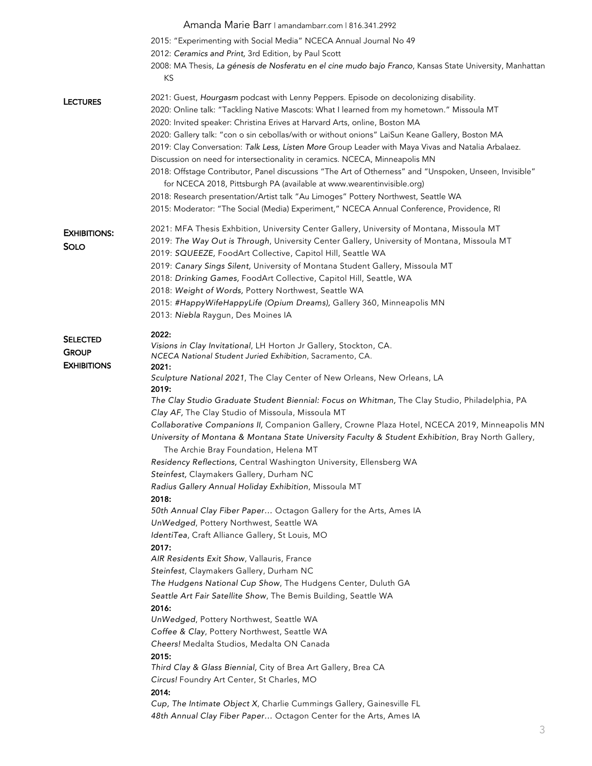|                     | Amanda Marie Barr I amandambarr.com   816.341.2992                                                       |
|---------------------|----------------------------------------------------------------------------------------------------------|
|                     | 2015: "Experimenting with Social Media" NCECA Annual Journal No 49                                       |
|                     | 2012: Ceramics and Print, 3rd Edition, by Paul Scott                                                     |
|                     | 2008: MA Thesis, La génesis de Nosferatu en el cine mudo bajo Franco, Kansas State University, Manhattan |
|                     | KS                                                                                                       |
| <b>LECTURES</b>     | 2021: Guest, Hourgasm podcast with Lenny Peppers. Episode on decolonizing disability.                    |
|                     | 2020: Online talk: "Tackling Native Mascots: What I learned from my hometown." Missoula MT               |
|                     | 2020: Invited speaker: Christina Erives at Harvard Arts, online, Boston MA                               |
|                     | 2020: Gallery talk: "con o sin cebollas/with or without onions" LaiSun Keane Gallery, Boston MA          |
|                     | 2019: Clay Conversation: Talk Less, Listen More Group Leader with Maya Vivas and Natalia Arbalaez.       |
|                     | Discussion on need for intersectionality in ceramics. NCECA, Minneapolis MN                              |
|                     | 2018: Offstage Contributor, Panel discussions "The Art of Otherness" and "Unspoken, Unseen, Invisible"   |
|                     | for NCECA 2018, Pittsburgh PA (available at www.wearentinvisible.org)                                    |
|                     | 2018: Research presentation/Artist talk "Au Limoges" Pottery Northwest, Seattle WA                       |
|                     | 2015: Moderator: "The Social (Media) Experiment," NCECA Annual Conference, Providence, RI                |
| <b>EXHIBITIONS:</b> | 2021: MFA Thesis Exhbition, University Center Gallery, University of Montana, Missoula MT                |
| <b>SOLO</b>         | 2019: The Way Out is Through, University Center Gallery, University of Montana, Missoula MT              |
|                     | 2019: SQUEEZE, FoodArt Collective, Capitol Hill, Seattle WA                                              |
|                     | 2019: Canary Sings Silent, University of Montana Student Gallery, Missoula MT                            |
|                     | 2018: Drinking Games, FoodArt Collective, Capitol Hill, Seattle, WA                                      |
|                     | 2018: Weight of Words, Pottery Northwest, Seattle WA                                                     |
|                     | 2015: #HappyWifeHappyLife (Opium Dreams), Gallery 360, Minneapolis MN                                    |
|                     | 2013: Niebla Raygun, Des Moines IA                                                                       |
| <b>SELECTED</b>     | 2022:                                                                                                    |
| <b>GROUP</b>        | Visions in Clay Invitational, LH Horton Jr Gallery, Stockton, CA.                                        |
| <b>EXHIBITIONS</b>  | NCECA National Student Juried Exhibition, Sacramento, CA.<br>2021:                                       |
|                     | Sculpture National 2021, The Clay Center of New Orleans, New Orleans, LA                                 |
|                     | 2019:                                                                                                    |
|                     | The Clay Studio Graduate Student Biennial: Focus on Whitman, The Clay Studio, Philadelphia, PA           |
|                     | Clay AF, The Clay Studio of Missoula, Missoula MT                                                        |
|                     | Collaborative Companions II, Companion Gallery, Crowne Plaza Hotel, NCECA 2019, Minneapolis MN           |
|                     | University of Montana & Montana State University Faculty & Student Exhibition, Bray North Gallery,       |
|                     | The Archie Bray Foundation, Helena MT                                                                    |
|                     | Residency Reflections, Central Washington University, Ellensberg WA                                      |
|                     | Steinfest, Claymakers Gallery, Durham NC                                                                 |
|                     | Radius Gallery Annual Holiday Exhibition, Missoula MT                                                    |
|                     | 2018:<br>50th Annual Clay Fiber Paper Octagon Gallery for the Arts, Ames IA                              |
|                     | UnWedged, Pottery Northwest, Seattle WA                                                                  |
|                     | IdentiTea, Craft Alliance Gallery, St Louis, MO                                                          |
|                     | 2017:                                                                                                    |
|                     | AIR Residents Exit Show, Vallauris, France                                                               |
|                     | Steinfest, Claymakers Gallery, Durham NC                                                                 |
|                     | The Hudgens National Cup Show, The Hudgens Center, Duluth GA                                             |
|                     | Seattle Art Fair Satellite Show, The Bemis Building, Seattle WA                                          |
|                     | 2016:                                                                                                    |
|                     | UnWedged, Pottery Northwest, Seattle WA                                                                  |
|                     | Coffee & Clay, Pottery Northwest, Seattle WA                                                             |
|                     | Cheers! Medalta Studios, Medalta ON Canada                                                               |
|                     | 2015:                                                                                                    |
|                     | Third Clay & Glass Biennial, City of Brea Art Gallery, Brea CA                                           |
|                     |                                                                                                          |
|                     | Circus! Foundry Art Center, St Charles, MO                                                               |
|                     | 2014:<br>Cup, The Intimate Object X, Charlie Cummings Gallery, Gainesville FL                            |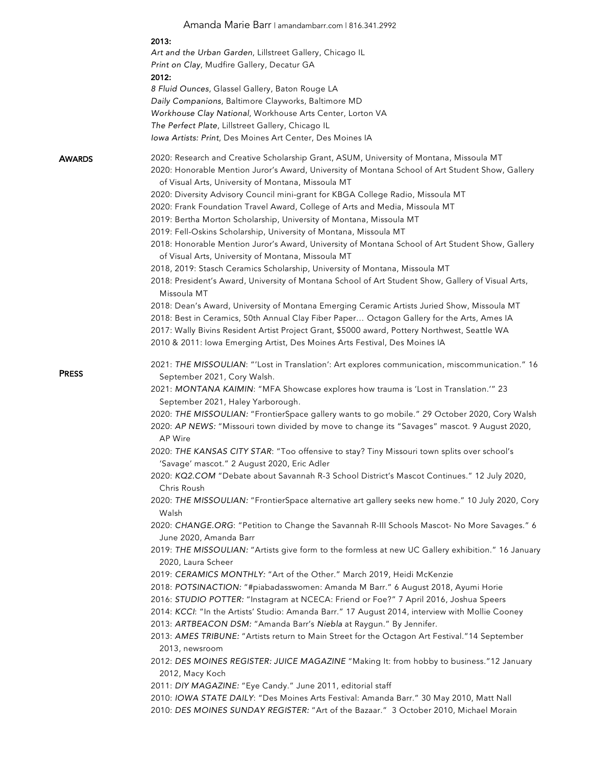|               | Amanda Marie Barr I amandambarr.com   816.341.2992                                                                                                                                                                                                                                                                                                                                                                                                                                                                                                                                                                                                                                                                        |
|---------------|---------------------------------------------------------------------------------------------------------------------------------------------------------------------------------------------------------------------------------------------------------------------------------------------------------------------------------------------------------------------------------------------------------------------------------------------------------------------------------------------------------------------------------------------------------------------------------------------------------------------------------------------------------------------------------------------------------------------------|
|               | 2013:                                                                                                                                                                                                                                                                                                                                                                                                                                                                                                                                                                                                                                                                                                                     |
|               | Art and the Urban Garden, Lillstreet Gallery, Chicago IL                                                                                                                                                                                                                                                                                                                                                                                                                                                                                                                                                                                                                                                                  |
|               | Print on Clay, Mudfire Gallery, Decatur GA                                                                                                                                                                                                                                                                                                                                                                                                                                                                                                                                                                                                                                                                                |
|               | 2012:                                                                                                                                                                                                                                                                                                                                                                                                                                                                                                                                                                                                                                                                                                                     |
|               | 8 Fluid Ounces, Glassel Gallery, Baton Rouge LA                                                                                                                                                                                                                                                                                                                                                                                                                                                                                                                                                                                                                                                                           |
|               | Daily Companions, Baltimore Clayworks, Baltimore MD                                                                                                                                                                                                                                                                                                                                                                                                                                                                                                                                                                                                                                                                       |
|               | Workhouse Clay National, Workhouse Arts Center, Lorton VA                                                                                                                                                                                                                                                                                                                                                                                                                                                                                                                                                                                                                                                                 |
|               | The Perfect Plate, Lillstreet Gallery, Chicago IL                                                                                                                                                                                                                                                                                                                                                                                                                                                                                                                                                                                                                                                                         |
|               | Iowa Artists: Print, Des Moines Art Center, Des Moines IA                                                                                                                                                                                                                                                                                                                                                                                                                                                                                                                                                                                                                                                                 |
| <b>AWARDS</b> | 2020: Research and Creative Scholarship Grant, ASUM, University of Montana, Missoula MT<br>2020: Honorable Mention Juror's Award, University of Montana School of Art Student Show, Gallery<br>of Visual Arts, University of Montana, Missoula MT<br>2020: Diversity Advisory Council mini-grant for KBGA College Radio, Missoula MT<br>2020: Frank Foundation Travel Award, College of Arts and Media, Missoula MT<br>2019: Bertha Morton Scholarship, University of Montana, Missoula MT<br>2019: Fell-Oskins Scholarship, University of Montana, Missoula MT<br>2018: Honorable Mention Juror's Award, University of Montana School of Art Student Show, Gallery<br>of Visual Arts, University of Montana, Missoula MT |
|               | 2018, 2019: Stasch Ceramics Scholarship, University of Montana, Missoula MT                                                                                                                                                                                                                                                                                                                                                                                                                                                                                                                                                                                                                                               |
|               | 2018: President's Award, University of Montana School of Art Student Show, Gallery of Visual Arts,                                                                                                                                                                                                                                                                                                                                                                                                                                                                                                                                                                                                                        |
|               | Missoula MT                                                                                                                                                                                                                                                                                                                                                                                                                                                                                                                                                                                                                                                                                                               |
|               | 2018: Dean's Award, University of Montana Emerging Ceramic Artists Juried Show, Missoula MT                                                                                                                                                                                                                                                                                                                                                                                                                                                                                                                                                                                                                               |
|               | 2018: Best in Ceramics, 50th Annual Clay Fiber Paper Octagon Gallery for the Arts, Ames IA                                                                                                                                                                                                                                                                                                                                                                                                                                                                                                                                                                                                                                |
|               | 2017: Wally Bivins Resident Artist Project Grant, \$5000 award, Pottery Northwest, Seattle WA                                                                                                                                                                                                                                                                                                                                                                                                                                                                                                                                                                                                                             |
|               | 2010 & 2011: Iowa Emerging Artist, Des Moines Arts Festival, Des Moines IA                                                                                                                                                                                                                                                                                                                                                                                                                                                                                                                                                                                                                                                |
|               | 2021: THE MISSOULIAN: "'Lost in Translation': Art explores communication, miscommunication." 16                                                                                                                                                                                                                                                                                                                                                                                                                                                                                                                                                                                                                           |
| <b>PRESS</b>  | September 2021, Cory Walsh.                                                                                                                                                                                                                                                                                                                                                                                                                                                                                                                                                                                                                                                                                               |
|               | 2021: MONTANA KAIMIN: "MFA Showcase explores how trauma is 'Lost in Translation.'" 23                                                                                                                                                                                                                                                                                                                                                                                                                                                                                                                                                                                                                                     |
|               | September 2021, Haley Yarborough.                                                                                                                                                                                                                                                                                                                                                                                                                                                                                                                                                                                                                                                                                         |
|               | 2020: THE MISSOULIAN: "FrontierSpace gallery wants to go mobile." 29 October 2020, Cory Walsh                                                                                                                                                                                                                                                                                                                                                                                                                                                                                                                                                                                                                             |
|               | 2020: AP NEWS: "Missouri town divided by move to change its "Savages" mascot. 9 August 2020,<br>AP Wire                                                                                                                                                                                                                                                                                                                                                                                                                                                                                                                                                                                                                   |
|               | 2020: THE KANSAS CITY STAR: "Too offensive to stay? Tiny Missouri town splits over school's                                                                                                                                                                                                                                                                                                                                                                                                                                                                                                                                                                                                                               |
|               | 'Savage' mascot." 2 August 2020, Eric Adler                                                                                                                                                                                                                                                                                                                                                                                                                                                                                                                                                                                                                                                                               |
|               | 2020: KQ2.COM "Debate about Savannah R-3 School District's Mascot Continues." 12 July 2020,                                                                                                                                                                                                                                                                                                                                                                                                                                                                                                                                                                                                                               |
|               | Chris Roush                                                                                                                                                                                                                                                                                                                                                                                                                                                                                                                                                                                                                                                                                                               |
|               | 2020: THE MISSOULIAN: "FrontierSpace alternative art gallery seeks new home." 10 July 2020, Cory                                                                                                                                                                                                                                                                                                                                                                                                                                                                                                                                                                                                                          |
|               | Walsh                                                                                                                                                                                                                                                                                                                                                                                                                                                                                                                                                                                                                                                                                                                     |
|               | 2020: CHANGE.ORG: "Petition to Change the Savannah R-III Schools Mascot- No More Savages." 6                                                                                                                                                                                                                                                                                                                                                                                                                                                                                                                                                                                                                              |
|               | June 2020, Amanda Barr                                                                                                                                                                                                                                                                                                                                                                                                                                                                                                                                                                                                                                                                                                    |
|               | 2019: THE MISSOULIAN: "Artists give form to the formless at new UC Gallery exhibition." 16 January                                                                                                                                                                                                                                                                                                                                                                                                                                                                                                                                                                                                                        |
|               | 2020, Laura Scheer                                                                                                                                                                                                                                                                                                                                                                                                                                                                                                                                                                                                                                                                                                        |
|               | 2019: CERAMICS MONTHLY: "Art of the Other." March 2019, Heidi McKenzie                                                                                                                                                                                                                                                                                                                                                                                                                                                                                                                                                                                                                                                    |
|               | 2018: POTSINACTION: "#piabadasswomen: Amanda M Barr." 6 August 2018, Ayumi Horie                                                                                                                                                                                                                                                                                                                                                                                                                                                                                                                                                                                                                                          |
|               | 2016: STUDIO POTTER: "Instagram at NCECA: Friend or Foe?" 7 April 2016, Joshua Speers                                                                                                                                                                                                                                                                                                                                                                                                                                                                                                                                                                                                                                     |
|               | 2014: KCCI: "In the Artists' Studio: Amanda Barr." 17 August 2014, interview with Mollie Cooney<br>2013: ARTBEACON DSM: "Amanda Barr's Niebla at Raygun." By Jennifer.                                                                                                                                                                                                                                                                                                                                                                                                                                                                                                                                                    |
|               | 2013: AMES TRIBUNE: "Artists return to Main Street for the Octagon Art Festival."14 September                                                                                                                                                                                                                                                                                                                                                                                                                                                                                                                                                                                                                             |
|               | 2013, newsroom                                                                                                                                                                                                                                                                                                                                                                                                                                                                                                                                                                                                                                                                                                            |
|               | 2012: DES MOINES REGISTER: JUICE MAGAZINE "Making It: from hobby to business."12 January                                                                                                                                                                                                                                                                                                                                                                                                                                                                                                                                                                                                                                  |
|               | 2012, Macy Koch                                                                                                                                                                                                                                                                                                                                                                                                                                                                                                                                                                                                                                                                                                           |
|               | 2011: DIY MAGAZINE: "Eye Candy." June 2011, editorial staff                                                                                                                                                                                                                                                                                                                                                                                                                                                                                                                                                                                                                                                               |
|               | 2010: IOWA STATE DAILY: "Des Moines Arts Festival: Amanda Barr." 30 May 2010, Matt Nall                                                                                                                                                                                                                                                                                                                                                                                                                                                                                                                                                                                                                                   |
|               | 2010: DES MOINES SUNDAY REGISTER: "Art of the Bazaar." 3 October 2010, Michael Morain                                                                                                                                                                                                                                                                                                                                                                                                                                                                                                                                                                                                                                     |